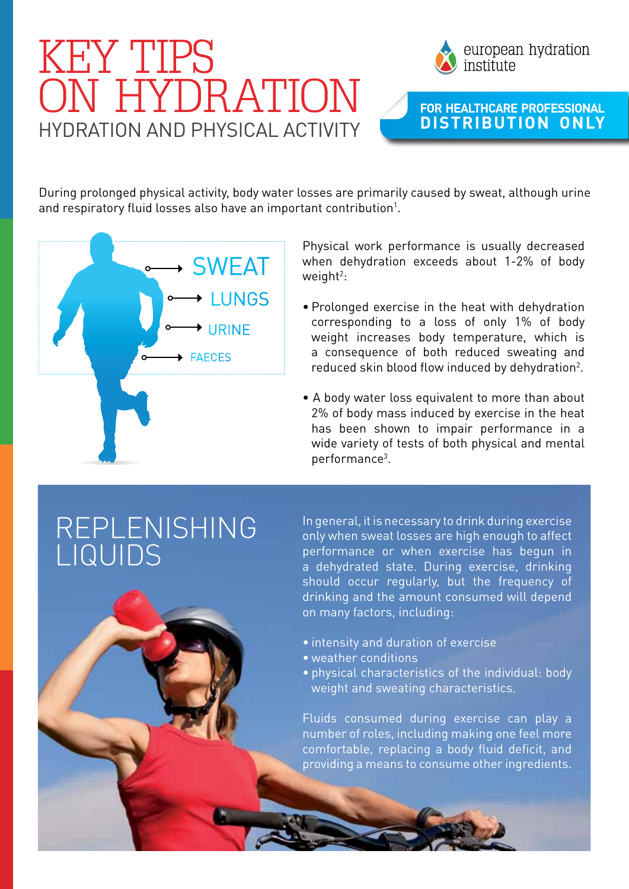## HYDRATION AND PHYSICAL ACTIVITY KEY TIPS ON HYDRATION



## **For HeaLthcare Professional distribution only**

During prolonged physical activity, body water losses are primarily caused by sweat, although urine and respiratory fluid losses also have an important contribution<sup>1</sup>.



Physical work performance is usually decreased when dehydration exceeds about 1-2% of body  $weight<sup>2</sup>$ :

- Prolonged exercise in the heat with dehydration corresponding to a loss of only 1% of body weight increases body temperature, which is a consequence of both reduced sweating and reduced skin blood flow induced by dehydration<sup>2</sup>.
- A body water loss equivalent to more than about 2% of body mass induced by exercise in the heat has been shown to impair performance in a wide variety of tests of both physical and mental performance3 .

## Replenishing LIQUIDS

In general, it is necessary to drink during exercise only when sweat losses are high enough to affect performance or when exercise has begun in a dehydrated state. During exercise, drinking should occur regularly, but the frequency of drinking and the amount consumed will depend on many factors, including:

- intensity and duration of exercise
- weather conditions
- physical characteristics of the individual: body weight and sweating characteristics.

Fluids consumed during exercise can play a number of roles, including making one feel more comfortable, replacing a body fluid deficit, and providing a means to consume other ingredients.